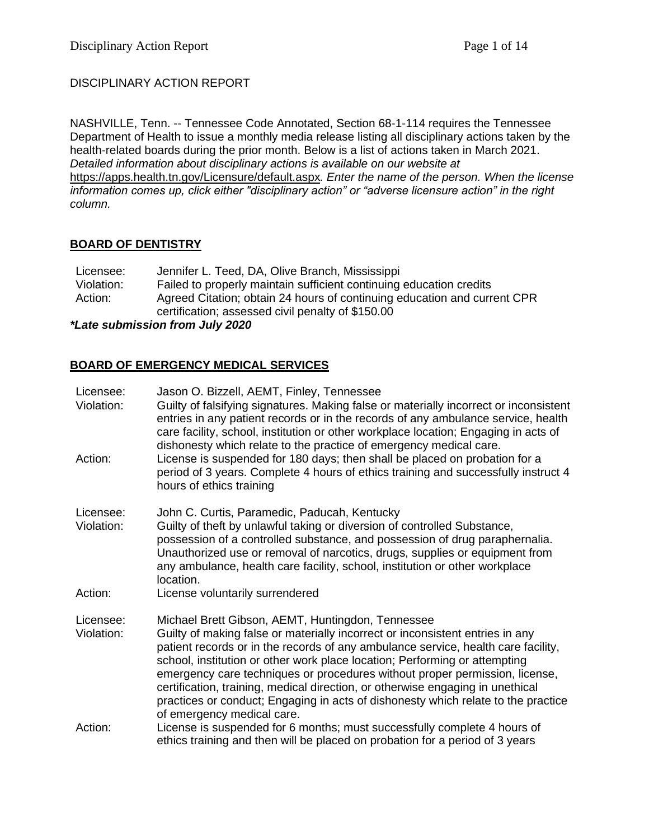# DISCIPLINARY ACTION REPORT

NASHVILLE, Tenn. -- Tennessee Code Annotated, Section 68-1-114 requires the Tennessee Department of Health to issue a monthly media release listing all disciplinary actions taken by the health-related boards during the prior month. Below is a list of actions taken in March 2021. *Detailed information about disciplinary actions is available on our website at*  <https://apps.health.tn.gov/Licensure/default.aspx>*. Enter the name of the person. When the license information comes up, click either "disciplinary action" or "adverse licensure action" in the right column.*

## **BOARD OF DENTISTRY**

| Licensee:  | Jennifer L. Teed, DA, Olive Branch, Mississippi                          |  |
|------------|--------------------------------------------------------------------------|--|
| Violation: | Failed to properly maintain sufficient continuing education credits      |  |
| Action:    | Agreed Citation; obtain 24 hours of continuing education and current CPR |  |
|            | certification; assessed civil penalty of \$150.00                        |  |

### *\*Late submission from July 2020*

# **BOARD OF EMERGENCY MEDICAL SERVICES**

| Licensee:<br>Violation: | Jason O. Bizzell, AEMT, Finley, Tennessee<br>Guilty of falsifying signatures. Making false or materially incorrect or inconsistent<br>entries in any patient records or in the records of any ambulance service, health<br>care facility, school, institution or other workplace location; Engaging in acts of<br>dishonesty which relate to the practice of emergency medical care.                                                                                                                                                                                                      |  |
|-------------------------|-------------------------------------------------------------------------------------------------------------------------------------------------------------------------------------------------------------------------------------------------------------------------------------------------------------------------------------------------------------------------------------------------------------------------------------------------------------------------------------------------------------------------------------------------------------------------------------------|--|
| Action:                 | License is suspended for 180 days; then shall be placed on probation for a<br>period of 3 years. Complete 4 hours of ethics training and successfully instruct 4<br>hours of ethics training                                                                                                                                                                                                                                                                                                                                                                                              |  |
| Licensee:<br>Violation: | John C. Curtis, Paramedic, Paducah, Kentucky<br>Guilty of theft by unlawful taking or diversion of controlled Substance,<br>possession of a controlled substance, and possession of drug paraphernalia.<br>Unauthorized use or removal of narcotics, drugs, supplies or equipment from<br>any ambulance, health care facility, school, institution or other workplace<br>location.                                                                                                                                                                                                        |  |
| Action:                 | License voluntarily surrendered                                                                                                                                                                                                                                                                                                                                                                                                                                                                                                                                                           |  |
| Licensee:<br>Violation: | Michael Brett Gibson, AEMT, Huntingdon, Tennessee<br>Guilty of making false or materially incorrect or inconsistent entries in any<br>patient records or in the records of any ambulance service, health care facility,<br>school, institution or other work place location; Performing or attempting<br>emergency care techniques or procedures without proper permission, license,<br>certification, training, medical direction, or otherwise engaging in unethical<br>practices or conduct; Engaging in acts of dishonesty which relate to the practice<br>of emergency medical care. |  |
| Action:                 | License is suspended for 6 months; must successfully complete 4 hours of<br>ethics training and then will be placed on probation for a period of 3 years                                                                                                                                                                                                                                                                                                                                                                                                                                  |  |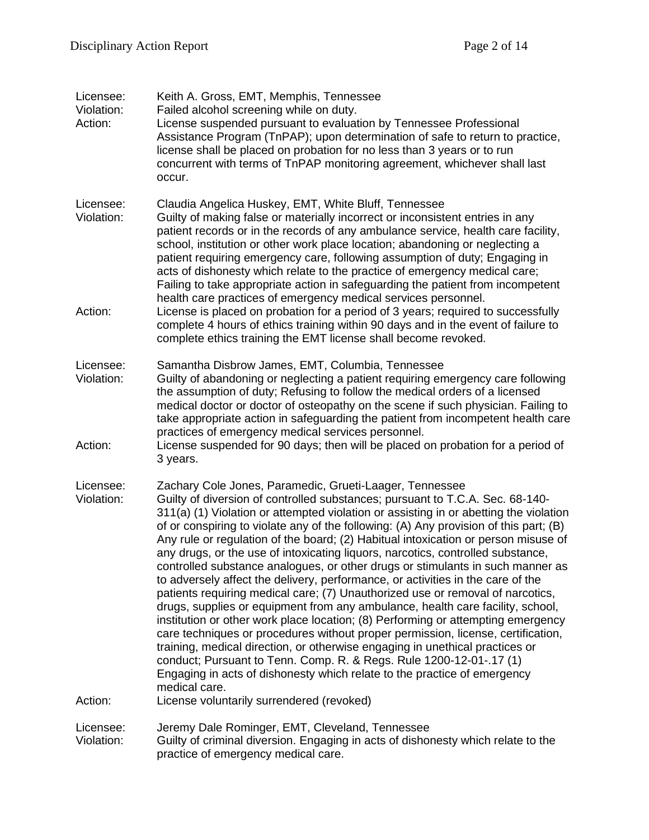| Licensee:<br>Violation:<br>Action: | Keith A. Gross, EMT, Memphis, Tennessee<br>Failed alcohol screening while on duty.<br>License suspended pursuant to evaluation by Tennessee Professional<br>Assistance Program (TnPAP); upon determination of safe to return to practice,<br>license shall be placed on probation for no less than 3 years or to run<br>concurrent with terms of TnPAP monitoring agreement, whichever shall last<br>occur.                                                                                                                                                                                                                                                                                                                                                                                                                                                                                                                                                                                                                                                                                                                                                                                                                                                              |
|------------------------------------|--------------------------------------------------------------------------------------------------------------------------------------------------------------------------------------------------------------------------------------------------------------------------------------------------------------------------------------------------------------------------------------------------------------------------------------------------------------------------------------------------------------------------------------------------------------------------------------------------------------------------------------------------------------------------------------------------------------------------------------------------------------------------------------------------------------------------------------------------------------------------------------------------------------------------------------------------------------------------------------------------------------------------------------------------------------------------------------------------------------------------------------------------------------------------------------------------------------------------------------------------------------------------|
| Licensee:<br>Violation:<br>Action: | Claudia Angelica Huskey, EMT, White Bluff, Tennessee<br>Guilty of making false or materially incorrect or inconsistent entries in any<br>patient records or in the records of any ambulance service, health care facility,<br>school, institution or other work place location; abandoning or neglecting a<br>patient requiring emergency care, following assumption of duty; Engaging in<br>acts of dishonesty which relate to the practice of emergency medical care;<br>Failing to take appropriate action in safeguarding the patient from incompetent<br>health care practices of emergency medical services personnel.<br>License is placed on probation for a period of 3 years; required to successfully<br>complete 4 hours of ethics training within 90 days and in the event of failure to                                                                                                                                                                                                                                                                                                                                                                                                                                                                    |
|                                    | complete ethics training the EMT license shall become revoked.                                                                                                                                                                                                                                                                                                                                                                                                                                                                                                                                                                                                                                                                                                                                                                                                                                                                                                                                                                                                                                                                                                                                                                                                           |
| Licensee:<br>Violation:<br>Action: | Samantha Disbrow James, EMT, Columbia, Tennessee<br>Guilty of abandoning or neglecting a patient requiring emergency care following<br>the assumption of duty; Refusing to follow the medical orders of a licensed<br>medical doctor or doctor of osteopathy on the scene if such physician. Failing to<br>take appropriate action in safeguarding the patient from incompetent health care<br>practices of emergency medical services personnel.<br>License suspended for 90 days; then will be placed on probation for a period of<br>3 years.                                                                                                                                                                                                                                                                                                                                                                                                                                                                                                                                                                                                                                                                                                                         |
| Licensee:<br>Violation:            | Zachary Cole Jones, Paramedic, Grueti-Laager, Tennessee<br>Guilty of diversion of controlled substances; pursuant to T.C.A. Sec. 68-140-<br>311(a) (1) Violation or attempted violation or assisting in or abetting the violation<br>of or conspiring to violate any of the following: (A) Any provision of this part; (B)<br>Any rule or regulation of the board; (2) Habitual intoxication or person misuse of<br>any drugs, or the use of intoxicating liquors, narcotics, controlled substance,<br>controlled substance analogues, or other drugs or stimulants in such manner as<br>to adversely affect the delivery, performance, or activities in the care of the<br>patients requiring medical care; (7) Unauthorized use or removal of narcotics,<br>drugs, supplies or equipment from any ambulance, health care facility, school,<br>institution or other work place location; (8) Performing or attempting emergency<br>care techniques or procedures without proper permission, license, certification,<br>training, medical direction, or otherwise engaging in unethical practices or<br>conduct; Pursuant to Tenn. Comp. R. & Regs. Rule 1200-12-01-.17 (1)<br>Engaging in acts of dishonesty which relate to the practice of emergency<br>medical care. |
| Action:                            | License voluntarily surrendered (revoked)                                                                                                                                                                                                                                                                                                                                                                                                                                                                                                                                                                                                                                                                                                                                                                                                                                                                                                                                                                                                                                                                                                                                                                                                                                |
| Licensee:<br>Violation:            | Jeremy Dale Rominger, EMT, Cleveland, Tennessee<br>Guilty of criminal diversion. Engaging in acts of dishonesty which relate to the<br>practice of emergency medical care.                                                                                                                                                                                                                                                                                                                                                                                                                                                                                                                                                                                                                                                                                                                                                                                                                                                                                                                                                                                                                                                                                               |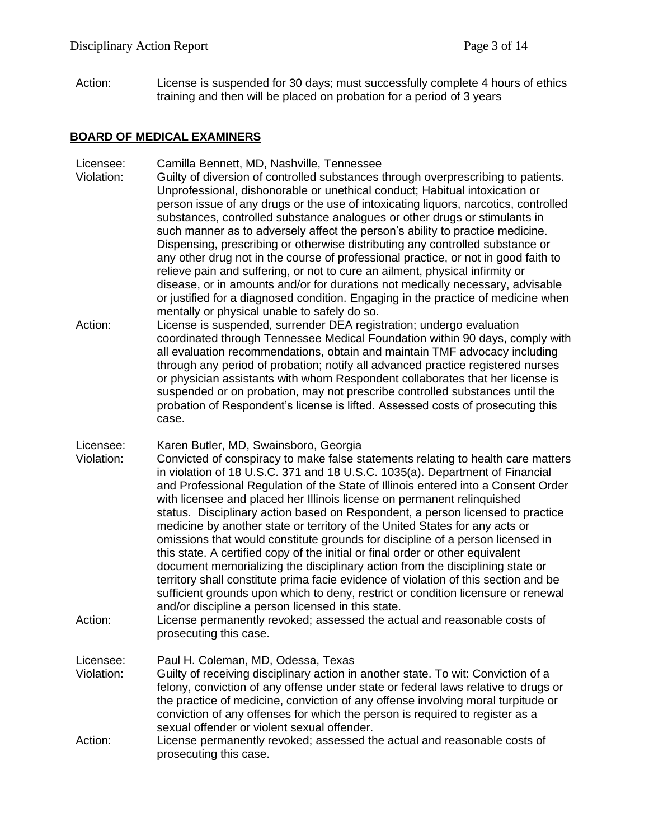Action: License is suspended for 30 days; must successfully complete 4 hours of ethics training and then will be placed on probation for a period of 3 years

### **BOARD OF MEDICAL EXAMINERS**

- Licensee: Camilla Bennett, MD, Nashville, Tennessee
- Violation: Guilty of diversion of controlled substances through overprescribing to patients. Unprofessional, dishonorable or unethical conduct; Habitual intoxication or person issue of any drugs or the use of intoxicating liquors, narcotics, controlled substances, controlled substance analogues or other drugs or stimulants in such manner as to adversely affect the person's ability to practice medicine. Dispensing, prescribing or otherwise distributing any controlled substance or any other drug not in the course of professional practice, or not in good faith to relieve pain and suffering, or not to cure an ailment, physical infirmity or disease, or in amounts and/or for durations not medically necessary, advisable or justified for a diagnosed condition. Engaging in the practice of medicine when mentally or physical unable to safely do so.
- Action: License is suspended, surrender DEA registration; undergo evaluation coordinated through Tennessee Medical Foundation within 90 days, comply with all evaluation recommendations, obtain and maintain TMF advocacy including through any period of probation; notify all advanced practice registered nurses or physician assistants with whom Respondent collaborates that her license is suspended or on probation, may not prescribe controlled substances until the probation of Respondent's license is lifted. Assessed costs of prosecuting this case.
- Licensee: Karen Butler, MD, Swainsboro, Georgia
- Violation: Convicted of conspiracy to make false statements relating to health care matters in violation of 18 U.S.C. 371 and 18 U.S.C. 1035(a). Department of Financial and Professional Regulation of the State of Illinois entered into a Consent Order with licensee and placed her Illinois license on permanent relinquished status. Disciplinary action based on Respondent, a person licensed to practice medicine by another state or territory of the United States for any acts or omissions that would constitute grounds for discipline of a person licensed in this state. A certified copy of the initial or final order or other equivalent document memorializing the disciplinary action from the disciplining state or territory shall constitute prima facie evidence of violation of this section and be sufficient grounds upon which to deny, restrict or condition licensure or renewal and/or discipline a person licensed in this state.
- Action: License permanently revoked; assessed the actual and reasonable costs of prosecuting this case.
- Licensee: Paul H. Coleman, MD, Odessa, Texas Violation: Guilty of receiving disciplinary action in another state. To wit: Conviction of a felony, conviction of any offense under state or federal laws relative to drugs or the practice of medicine, conviction of any offense involving moral turpitude or conviction of any offenses for which the person is required to register as a sexual offender or violent sexual offender.
- Action: License permanently revoked; assessed the actual and reasonable costs of prosecuting this case.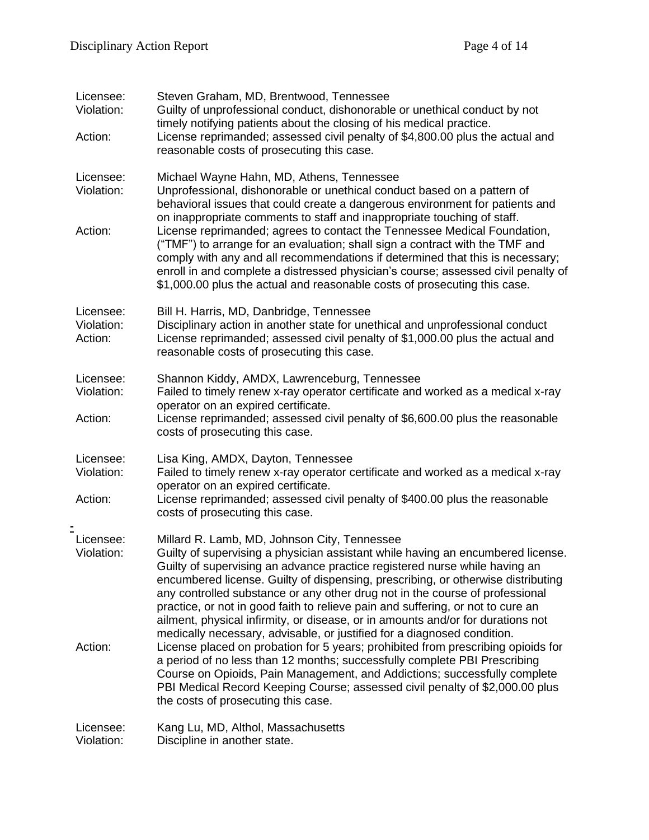| Licensee:<br>Violation:            | Steven Graham, MD, Brentwood, Tennessee<br>Guilty of unprofessional conduct, dishonorable or unethical conduct by not<br>timely notifying patients about the closing of his medical practice.                                                                                                                                                                                                                     |
|------------------------------------|-------------------------------------------------------------------------------------------------------------------------------------------------------------------------------------------------------------------------------------------------------------------------------------------------------------------------------------------------------------------------------------------------------------------|
| Action:                            | License reprimanded; assessed civil penalty of \$4,800.00 plus the actual and<br>reasonable costs of prosecuting this case.                                                                                                                                                                                                                                                                                       |
| Licensee:<br>Violation:<br>Action: | Michael Wayne Hahn, MD, Athens, Tennessee<br>Unprofessional, dishonorable or unethical conduct based on a pattern of<br>behavioral issues that could create a dangerous environment for patients and<br>on inappropriate comments to staff and inappropriate touching of staff.<br>License reprimanded; agrees to contact the Tennessee Medical Foundation,                                                       |
|                                    | ("TMF") to arrange for an evaluation; shall sign a contract with the TMF and<br>comply with any and all recommendations if determined that this is necessary;<br>enroll in and complete a distressed physician's course; assessed civil penalty of<br>\$1,000.00 plus the actual and reasonable costs of prosecuting this case.                                                                                   |
| Licensee:<br>Violation:<br>Action: | Bill H. Harris, MD, Danbridge, Tennessee<br>Disciplinary action in another state for unethical and unprofessional conduct<br>License reprimanded; assessed civil penalty of \$1,000.00 plus the actual and<br>reasonable costs of prosecuting this case.                                                                                                                                                          |
| Licensee:<br>Violation:            | Shannon Kiddy, AMDX, Lawrenceburg, Tennessee<br>Failed to timely renew x-ray operator certificate and worked as a medical x-ray                                                                                                                                                                                                                                                                                   |
| Action:                            | operator on an expired certificate.<br>License reprimanded; assessed civil penalty of \$6,600.00 plus the reasonable<br>costs of prosecuting this case.                                                                                                                                                                                                                                                           |
| Licensee:<br>Violation:            | Lisa King, AMDX, Dayton, Tennessee<br>Failed to timely renew x-ray operator certificate and worked as a medical x-ray<br>operator on an expired certificate.                                                                                                                                                                                                                                                      |
| Action:                            | License reprimanded; assessed civil penalty of \$400.00 plus the reasonable<br>costs of prosecuting this case.                                                                                                                                                                                                                                                                                                    |
| Licensee:<br>Violation:            | Millard R. Lamb, MD, Johnson City, Tennessee<br>Guilty of supervising a physician assistant while having an encumbered license.<br>Guilty of supervising an advance practice registered nurse while having an                                                                                                                                                                                                     |
|                                    | encumbered license. Guilty of dispensing, prescribing, or otherwise distributing<br>any controlled substance or any other drug not in the course of professional<br>practice, or not in good faith to relieve pain and suffering, or not to cure an<br>ailment, physical infirmity, or disease, or in amounts and/or for durations not<br>medically necessary, advisable, or justified for a diagnosed condition. |
| Action:                            | License placed on probation for 5 years; prohibited from prescribing opioids for<br>a period of no less than 12 months; successfully complete PBI Prescribing<br>Course on Opioids, Pain Management, and Addictions; successfully complete<br>PBI Medical Record Keeping Course; assessed civil penalty of \$2,000.00 plus<br>the costs of prosecuting this case.                                                 |
| Licensee:<br>Violation:            | Kang Lu, MD, Althol, Massachusetts<br>Discipline in another state.                                                                                                                                                                                                                                                                                                                                                |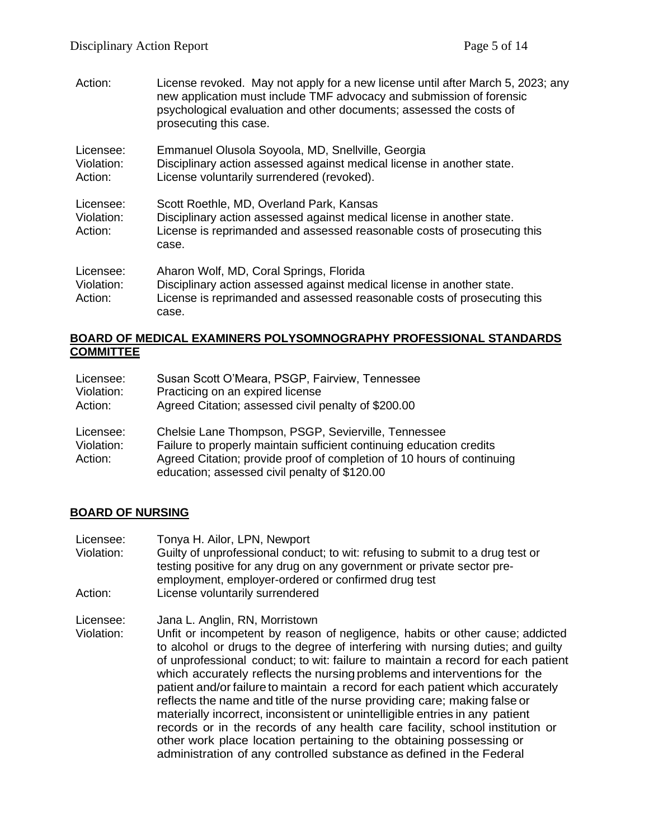Action: License revoked. May not apply for a new license until after March 5, 2023; any new application must include TMF advocacy and submission of forensic psychological evaluation and other documents; assessed the costs of prosecuting this case. Licensee: Emmanuel Olusola Soyoola, MD, Snellville, Georgia Violation: Disciplinary action assessed against medical license in another state. Action: License voluntarily surrendered (revoked). Licensee: Scott Roethle, MD, Overland Park, Kansas Violation: Disciplinary action assessed against medical license in another state. Action: License is reprimanded and assessed reasonable costs of prosecuting this case. Licensee: Aharon Wolf, MD, Coral Springs, Florida Violation: Disciplinary action assessed against medical license in another state. Action: License is reprimanded and assessed reasonable costs of prosecuting this case.

### **BOARD OF MEDICAL EXAMINERS POLYSOMNOGRAPHY PROFESSIONAL STANDARDS COMMITTEE**

| Licensee:                          | Susan Scott O'Meara, PSGP, Fairview, Tennessee                                                                                                                                                                                                         |
|------------------------------------|--------------------------------------------------------------------------------------------------------------------------------------------------------------------------------------------------------------------------------------------------------|
| Violation:                         | Practicing on an expired license                                                                                                                                                                                                                       |
| Action:                            | Agreed Citation; assessed civil penalty of \$200.00                                                                                                                                                                                                    |
| Licensee:<br>Violation:<br>Action: | Chelsie Lane Thompson, PSGP, Sevierville, Tennessee<br>Failure to properly maintain sufficient continuing education credits<br>Agreed Citation; provide proof of completion of 10 hours of continuing<br>education; assessed civil penalty of \$120.00 |

## **BOARD OF NURSING**

Licensee: Tonya H. Ailor, LPN, Newport Violation: Guilty of unprofessional conduct; to wit: refusing to submit to a drug test or testing positive for any drug on any government or private sector preemployment, employer-ordered or confirmed drug test Action: License voluntarily surrendered

Licensee: Jana L. Anglin, RN, Morristown

Violation: Unfit or incompetent by reason of negligence, habits or other cause; addicted to alcohol or drugs to the degree of interfering with nursing duties; and guilty of unprofessional conduct; to wit: failure to maintain a record for each patient which accurately reflects the nursing problems and interventions for the patient and/or failure to maintain a record for each patient which accurately reflects the name and title of the nurse providing care; making false or materially incorrect, inconsistent or unintelligible entries in any patient records or in the records of any health care facility, school institution or other work place location pertaining to the obtaining possessing or administration of any controlled substance as defined in the Federal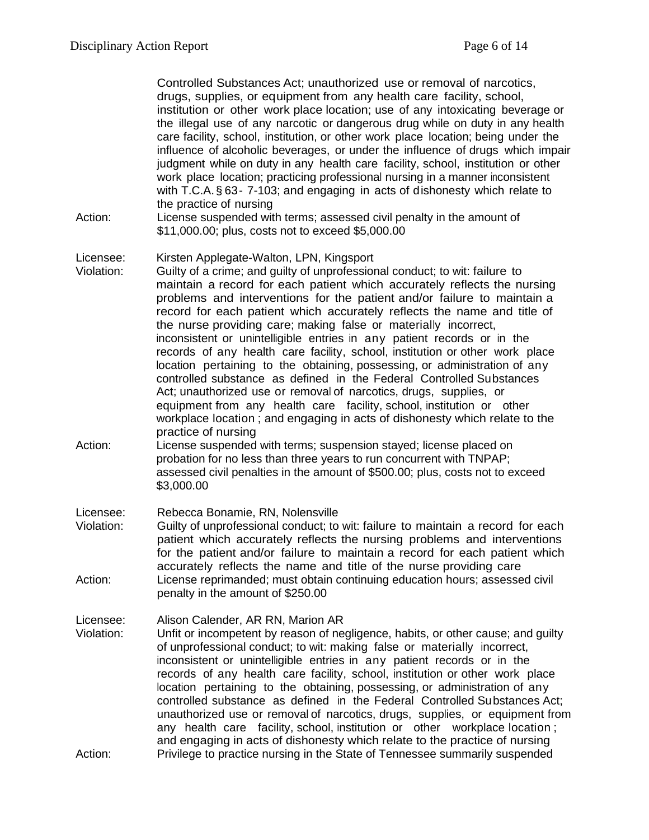Controlled Substances Act; unauthorized use or removal of narcotics, drugs, supplies, or equipment from any health care facility, school, institution or other work place location; use of any intoxicating beverage or the illegal use of any narcotic or dangerous drug while on duty in any health care facility, school, institution, or other work place location; being under the influence of alcoholic beverages, or under the influence of drugs which impair judgment while on duty in any health care facility, school, institution or other work place location; practicing professional nursing in a manner inconsistent with T.C.A.§ 63- 7-103; and engaging in acts of dishonesty which relate to the practice of nursing

Action: License suspended with terms; assessed civil penalty in the amount of \$11,000.00; plus, costs not to exceed \$5,000.00

#### Licensee: Kirsten Applegate-Walton, LPN, Kingsport

- Violation: Guilty of a crime; and guilty of unprofessional conduct; to wit: failure to maintain a record for each patient which accurately reflects the nursing problems and interventions for the patient and/or failure to maintain a record for each patient which accurately reflects the name and title of the nurse providing care; making false or materially incorrect, inconsistent or unintelligible entries in any patient records or in the records of any health care facility, school, institution or other work place location pertaining to the obtaining, possessing, or administration of any controlled substance as defined in the Federal Controlled Substances Act; unauthorized use or removal of narcotics, drugs, supplies, or equipment from any health care facility, school, institution or other workplace location ; and engaging in acts of dishonesty which relate to the practice of nursing
- Action: License suspended with terms; suspension stayed; license placed on probation for no less than three years to run concurrent with TNPAP; assessed civil penalties in the amount of \$500.00; plus, costs not to exceed \$3,000.00

Licensee: Rebecca Bonamie, RN, Nolensville

Violation: Guilty of unprofessional conduct; to wit: failure to maintain a record for each patient which accurately reflects the nursing problems and interventions for the patient and/or failure to maintain a record for each patient which accurately reflects the name and title of the nurse providing care Action: License reprimanded; must obtain continuing education hours; assessed civil penalty in the amount of \$250.00

Licensee: Alison Calender, AR RN, Marion AR

Violation: Unfit or incompetent by reason of negligence, habits, or other cause; and guilty of unprofessional conduct; to wit: making false or materially incorrect, inconsistent or unintelligible entries in any patient records or in the records of any health care facility, school, institution or other work place location pertaining to the obtaining, possessing, or administration of any controlled substance as defined in the Federal Controlled Substances Act; unauthorized use or removal of narcotics, drugs, supplies, or equipment from any health care facility, school, institution or other workplace location ; and engaging in acts of dishonesty which relate to the practice of nursing Action: Privilege to practice nursing in the State of Tennessee summarily suspended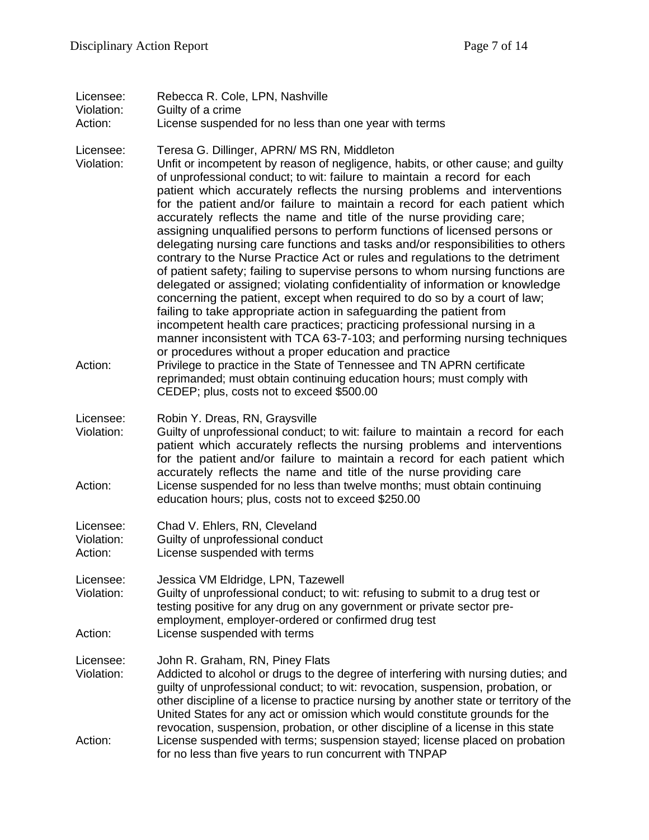| Licensee:<br>Violation:            | Rebecca R. Cole, LPN, Nashville                                                                                                                                                                                                                                                                                                                                                                                                                                                                                                                                                                                                                                                                                                                                                                                                                                                                                                                                                                                                                                                                                                                                                                                                                                                                                                                                                                                                 |
|------------------------------------|---------------------------------------------------------------------------------------------------------------------------------------------------------------------------------------------------------------------------------------------------------------------------------------------------------------------------------------------------------------------------------------------------------------------------------------------------------------------------------------------------------------------------------------------------------------------------------------------------------------------------------------------------------------------------------------------------------------------------------------------------------------------------------------------------------------------------------------------------------------------------------------------------------------------------------------------------------------------------------------------------------------------------------------------------------------------------------------------------------------------------------------------------------------------------------------------------------------------------------------------------------------------------------------------------------------------------------------------------------------------------------------------------------------------------------|
| Action:                            | Guilty of a crime<br>License suspended for no less than one year with terms                                                                                                                                                                                                                                                                                                                                                                                                                                                                                                                                                                                                                                                                                                                                                                                                                                                                                                                                                                                                                                                                                                                                                                                                                                                                                                                                                     |
| Licensee:<br>Violation:<br>Action: | Teresa G. Dillinger, APRN/ MS RN, Middleton<br>Unfit or incompetent by reason of negligence, habits, or other cause; and guilty<br>of unprofessional conduct; to wit: failure to maintain a record for each<br>patient which accurately reflects the nursing problems and interventions<br>for the patient and/or failure to maintain a record for each patient which<br>accurately reflects the name and title of the nurse providing care;<br>assigning unqualified persons to perform functions of licensed persons or<br>delegating nursing care functions and tasks and/or responsibilities to others<br>contrary to the Nurse Practice Act or rules and regulations to the detriment<br>of patient safety; failing to supervise persons to whom nursing functions are<br>delegated or assigned; violating confidentiality of information or knowledge<br>concerning the patient, except when required to do so by a court of law;<br>failing to take appropriate action in safeguarding the patient from<br>incompetent health care practices; practicing professional nursing in a<br>manner inconsistent with TCA 63-7-103; and performing nursing techniques<br>or procedures without a proper education and practice<br>Privilege to practice in the State of Tennessee and TN APRN certificate<br>reprimanded; must obtain continuing education hours; must comply with<br>CEDEP; plus, costs not to exceed \$500.00 |
| Licensee:<br>Violation:<br>Action: | Robin Y. Dreas, RN, Graysville<br>Guilty of unprofessional conduct; to wit: failure to maintain a record for each<br>patient which accurately reflects the nursing problems and interventions<br>for the patient and/or failure to maintain a record for each patient which<br>accurately reflects the name and title of the nurse providing care<br>License suspended for no less than twelve months; must obtain continuing<br>education hours; plus, costs not to exceed \$250.00                                                                                                                                                                                                                                                                                                                                                                                                                                                                                                                                                                                                                                                                                                                                                                                                                                                                                                                                            |
| Licensee:<br>Violation:<br>Action: | Chad V. Ehlers, RN, Cleveland<br>Guilty of unprofessional conduct<br>License suspended with terms                                                                                                                                                                                                                                                                                                                                                                                                                                                                                                                                                                                                                                                                                                                                                                                                                                                                                                                                                                                                                                                                                                                                                                                                                                                                                                                               |
| Licensee:<br>Violation:            | Jessica VM Eldridge, LPN, Tazewell<br>Guilty of unprofessional conduct; to wit: refusing to submit to a drug test or<br>testing positive for any drug on any government or private sector pre-<br>employment, employer-ordered or confirmed drug test                                                                                                                                                                                                                                                                                                                                                                                                                                                                                                                                                                                                                                                                                                                                                                                                                                                                                                                                                                                                                                                                                                                                                                           |
| Action:                            | License suspended with terms                                                                                                                                                                                                                                                                                                                                                                                                                                                                                                                                                                                                                                                                                                                                                                                                                                                                                                                                                                                                                                                                                                                                                                                                                                                                                                                                                                                                    |
| Licensee:<br>Violation:            | John R. Graham, RN, Piney Flats<br>Addicted to alcohol or drugs to the degree of interfering with nursing duties; and<br>guilty of unprofessional conduct; to wit: revocation, suspension, probation, or<br>other discipline of a license to practice nursing by another state or territory of the<br>United States for any act or omission which would constitute grounds for the<br>revocation, suspension, probation, or other discipline of a license in this state                                                                                                                                                                                                                                                                                                                                                                                                                                                                                                                                                                                                                                                                                                                                                                                                                                                                                                                                                         |
| Action:                            | License suspended with terms; suspension stayed; license placed on probation<br>for no less than five years to run concurrent with TNPAP                                                                                                                                                                                                                                                                                                                                                                                                                                                                                                                                                                                                                                                                                                                                                                                                                                                                                                                                                                                                                                                                                                                                                                                                                                                                                        |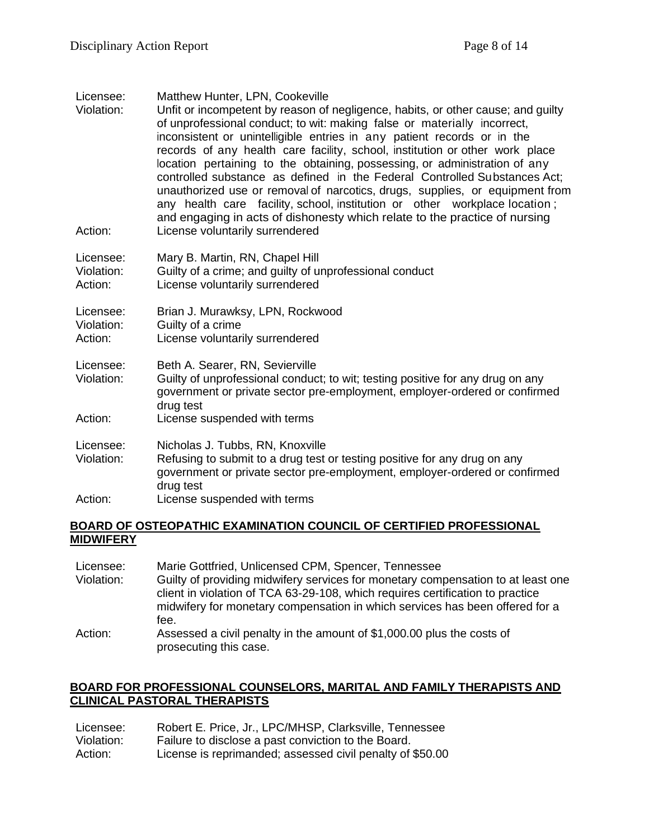| Licensee:<br>Violation:<br>Action: | Matthew Hunter, LPN, Cookeville<br>Unfit or incompetent by reason of negligence, habits, or other cause; and guilty<br>of unprofessional conduct; to wit: making false or materially incorrect,<br>inconsistent or unintelligible entries in any patient records or in the<br>records of any health care facility, school, institution or other work place<br>location pertaining to the obtaining, possessing, or administration of any<br>controlled substance as defined in the Federal Controlled Substances Act:<br>unauthorized use or removal of narcotics, drugs, supplies, or equipment from<br>any health care facility, school, institution or other workplace location;<br>and engaging in acts of dishonesty which relate to the practice of nursing<br>License voluntarily surrendered |
|------------------------------------|------------------------------------------------------------------------------------------------------------------------------------------------------------------------------------------------------------------------------------------------------------------------------------------------------------------------------------------------------------------------------------------------------------------------------------------------------------------------------------------------------------------------------------------------------------------------------------------------------------------------------------------------------------------------------------------------------------------------------------------------------------------------------------------------------|
| Licensee:                          | Mary B. Martin, RN, Chapel Hill                                                                                                                                                                                                                                                                                                                                                                                                                                                                                                                                                                                                                                                                                                                                                                      |
| Violation:                         | Guilty of a crime; and guilty of unprofessional conduct                                                                                                                                                                                                                                                                                                                                                                                                                                                                                                                                                                                                                                                                                                                                              |
| Action:                            | License voluntarily surrendered                                                                                                                                                                                                                                                                                                                                                                                                                                                                                                                                                                                                                                                                                                                                                                      |

Licensee: Brian J. Murawksy, LPN, Rockwood Violation: Guilty of a crime Action: License voluntarily surrendered

Licensee: Beth A. Searer, RN, Sevierville

- Violation: Guilty of unprofessional conduct; to wit; testing positive for any drug on any government or private sector pre-employment, employer-ordered or confirmed drug test
- Action: License suspended with terms

Licensee: Nicholas J. Tubbs, RN, Knoxville

- Violation: Refusing to submit to a drug test or testing positive for any drug on any government or private sector pre-employment, employer-ordered or confirmed drug test
- Action: License suspended with terms

## **BOARD OF OSTEOPATHIC EXAMINATION COUNCIL OF CERTIFIED PROFESSIONAL MIDWIFERY**

Licensee: Marie Gottfried, Unlicensed CPM, Spencer, Tennessee Violation: Guilty of providing midwifery services for monetary compensation to at least one client in violation of TCA 63-29-108, which requires certification to practice midwifery for monetary compensation in which services has been offered for a fee. Action: Assessed a civil penalty in the amount of \$1,000.00 plus the costs of prosecuting this case.

# **BOARD FOR PROFESSIONAL COUNSELORS, MARITAL AND FAMILY THERAPISTS AND CLINICAL PASTORAL THERAPISTS**

| Licensee:  | Robert E. Price, Jr., LPC/MHSP, Clarksville, Tennessee    |
|------------|-----------------------------------------------------------|
| Violation: | Failure to disclose a past conviction to the Board.       |
| Action:    | License is reprimanded; assessed civil penalty of \$50.00 |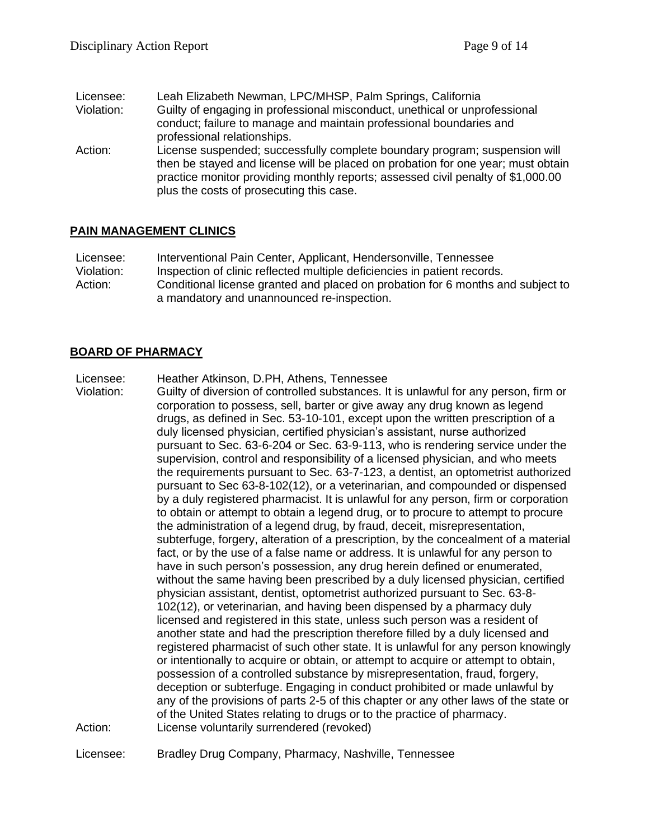Licensee: Leah Elizabeth Newman, LPC/MHSP, Palm Springs, California Violation: Guilty of engaging in professional misconduct, unethical or unprofessional conduct; failure to manage and maintain professional boundaries and professional relationships. Action: License suspended; successfully complete boundary program; suspension will then be stayed and license will be placed on probation for one year; must obtain practice monitor providing monthly reports; assessed civil penalty of \$1,000.00

## **PAIN MANAGEMENT CLINICS**

Licensee: Interventional Pain Center, Applicant, Hendersonville, Tennessee Violation: Inspection of clinic reflected multiple deficiencies in patient records. Action: Conditional license granted and placed on probation for 6 months and subject to a mandatory and unannounced re-inspection.

## **BOARD OF PHARMACY**

Licensee: Heather Atkinson, D.PH, Athens, Tennessee

plus the costs of prosecuting this case.

Violation: Guilty of diversion of controlled substances. It is unlawful for any person, firm or corporation to possess, sell, barter or give away any drug known as legend drugs, as defined in Sec. 53-10-101, except upon the written prescription of a duly licensed physician, certified physician's assistant, nurse authorized pursuant to Sec. 63-6-204 or Sec. 63-9-113, who is rendering service under the supervision, control and responsibility of a licensed physician, and who meets the requirements pursuant to Sec. 63-7-123, a dentist, an optometrist authorized pursuant to Sec 63-8-102(12), or a veterinarian, and compounded or dispensed by a duly registered pharmacist. It is unlawful for any person, firm or corporation to obtain or attempt to obtain a legend drug, or to procure to attempt to procure the administration of a legend drug, by fraud, deceit, misrepresentation, subterfuge, forgery, alteration of a prescription, by the concealment of a material fact, or by the use of a false name or address. It is unlawful for any person to have in such person's possession, any drug herein defined or enumerated, without the same having been prescribed by a duly licensed physician, certified physician assistant, dentist, optometrist authorized pursuant to Sec. 63-8- 102(12), or veterinarian, and having been dispensed by a pharmacy duly licensed and registered in this state, unless such person was a resident of another state and had the prescription therefore filled by a duly licensed and registered pharmacist of such other state. It is unlawful for any person knowingly or intentionally to acquire or obtain, or attempt to acquire or attempt to obtain, possession of a controlled substance by misrepresentation, fraud, forgery, deception or subterfuge. Engaging in conduct prohibited or made unlawful by any of the provisions of parts 2-5 of this chapter or any other laws of the state or of the United States relating to drugs or to the practice of pharmacy. Action: License voluntarily surrendered (revoked)

Licensee: Bradley Drug Company, Pharmacy, Nashville, Tennessee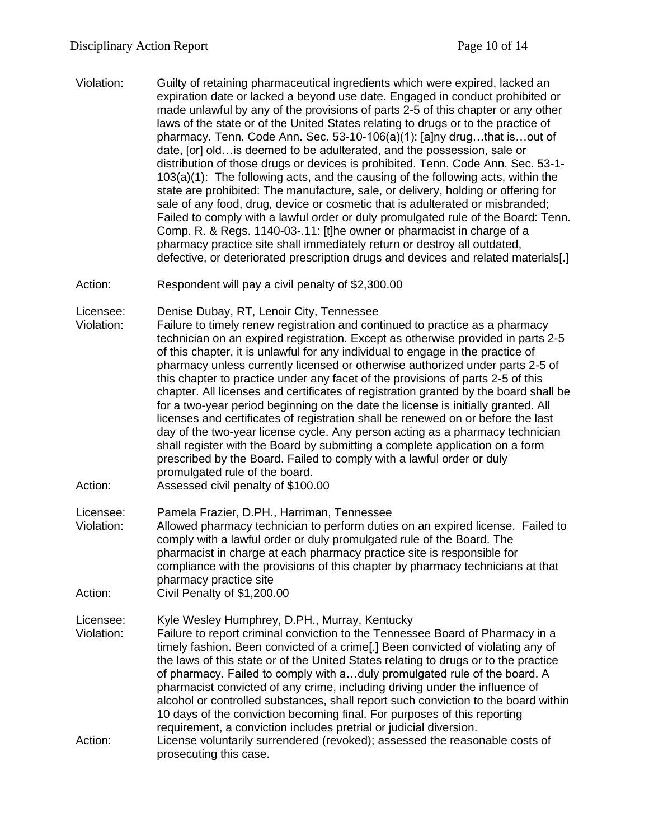- Violation: Guilty of retaining pharmaceutical ingredients which were expired, lacked an expiration date or lacked a beyond use date. Engaged in conduct prohibited or made unlawful by any of the provisions of parts 2-5 of this chapter or any other laws of the state or of the United States relating to drugs or to the practice of pharmacy. Tenn. Code Ann. Sec. 53-10-106(a)(1): [a]ny drug…that is…out of date, [or] old…is deemed to be adulterated, and the possession, sale or distribution of those drugs or devices is prohibited. Tenn. Code Ann. Sec. 53-1- 103(a)(1): The following acts, and the causing of the following acts, within the state are prohibited: The manufacture, sale, or delivery, holding or offering for sale of any food, drug, device or cosmetic that is adulterated or misbranded; Failed to comply with a lawful order or duly promulgated rule of the Board: Tenn. Comp. R. & Regs. 1140-03-.11: [t]he owner or pharmacist in charge of a pharmacy practice site shall immediately return or destroy all outdated, defective, or deteriorated prescription drugs and devices and related materials[.]
- Action: Respondent will pay a civil penalty of \$2,300.00
- Licensee: Denise Dubay, RT, Lenoir City, Tennessee
- Violation: Failure to timely renew registration and continued to practice as a pharmacy technician on an expired registration. Except as otherwise provided in parts 2-5 of this chapter, it is unlawful for any individual to engage in the practice of pharmacy unless currently licensed or otherwise authorized under parts 2-5 of this chapter to practice under any facet of the provisions of parts 2-5 of this chapter. All licenses and certificates of registration granted by the board shall be for a two-year period beginning on the date the license is initially granted. All licenses and certificates of registration shall be renewed on or before the last day of the two-year license cycle. Any person acting as a pharmacy technician shall register with the Board by submitting a complete application on a form prescribed by the Board. Failed to comply with a lawful order or duly promulgated rule of the board.
- Action: Assessed civil penalty of \$100.00

Licensee: Pamela Frazier, D.PH., Harriman, Tennessee

- Violation: Allowed pharmacy technician to perform duties on an expired license. Failed to comply with a lawful order or duly promulgated rule of the Board. The pharmacist in charge at each pharmacy practice site is responsible for compliance with the provisions of this chapter by pharmacy technicians at that pharmacy practice site
- Action: Civil Penalty of \$1,200.00

Licensee: Kyle Wesley Humphrey, D.PH., Murray, Kentucky

- Violation: Failure to report criminal conviction to the Tennessee Board of Pharmacy in a timely fashion. Been convicted of a crime[.] Been convicted of violating any of the laws of this state or of the United States relating to drugs or to the practice of pharmacy. Failed to comply with a…duly promulgated rule of the board. A pharmacist convicted of any crime, including driving under the influence of alcohol or controlled substances, shall report such conviction to the board within 10 days of the conviction becoming final. For purposes of this reporting requirement, a conviction includes pretrial or judicial diversion.
- Action: License voluntarily surrendered (revoked); assessed the reasonable costs of prosecuting this case.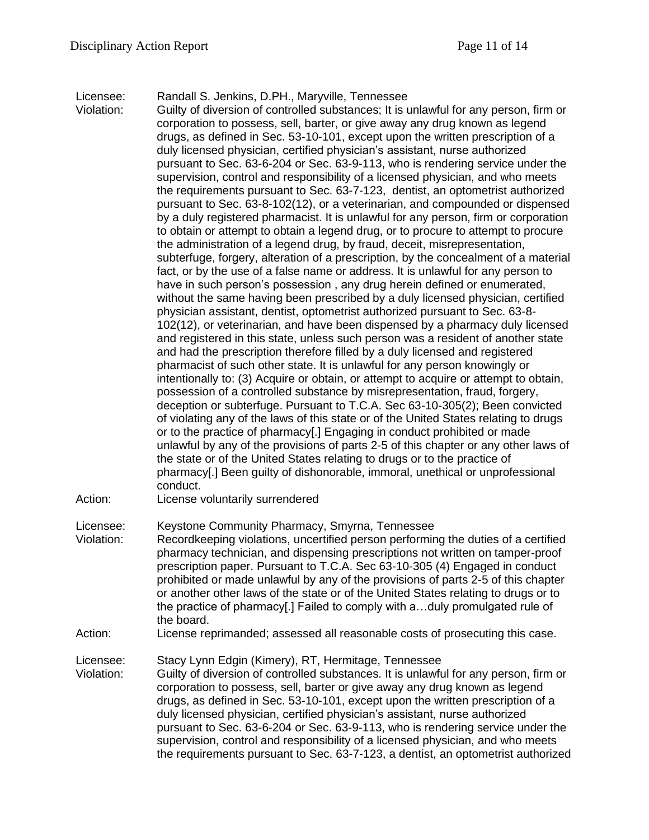Licensee: Randall S. Jenkins, D.PH., Maryville, Tennessee

Violation: Guilty of diversion of controlled substances; It is unlawful for any person, firm or corporation to possess, sell, barter, or give away any drug known as legend drugs, as defined in Sec. 53-10-101, except upon the written prescription of a duly licensed physician, certified physician's assistant, nurse authorized pursuant to Sec. 63-6-204 or Sec. 63-9-113, who is rendering service under the supervision, control and responsibility of a licensed physician, and who meets the requirements pursuant to Sec. 63-7-123, dentist, an optometrist authorized pursuant to Sec. 63-8-102(12), or a veterinarian, and compounded or dispensed by a duly registered pharmacist. It is unlawful for any person, firm or corporation to obtain or attempt to obtain a legend drug, or to procure to attempt to procure the administration of a legend drug, by fraud, deceit, misrepresentation, subterfuge, forgery, alteration of a prescription, by the concealment of a material fact, or by the use of a false name or address. It is unlawful for any person to have in such person's possession , any drug herein defined or enumerated, without the same having been prescribed by a duly licensed physician, certified physician assistant, dentist, optometrist authorized pursuant to Sec. 63-8- 102(12), or veterinarian, and have been dispensed by a pharmacy duly licensed and registered in this state, unless such person was a resident of another state and had the prescription therefore filled by a duly licensed and registered pharmacist of such other state. It is unlawful for any person knowingly or intentionally to: (3) Acquire or obtain, or attempt to acquire or attempt to obtain, possession of a controlled substance by misrepresentation, fraud, forgery, deception or subterfuge. Pursuant to T.C.A. Sec 63-10-305(2); Been convicted of violating any of the laws of this state or of the United States relating to drugs or to the practice of pharmacy[.] Engaging in conduct prohibited or made unlawful by any of the provisions of parts 2-5 of this chapter or any other laws of the state or of the United States relating to drugs or to the practice of pharmacy[.] Been guilty of dishonorable, immoral, unethical or unprofessional conduct.

Action: License voluntarily surrendered

Licensee: Keystone Community Pharmacy, Smyrna, Tennessee

- Violation: Recordkeeping violations, uncertified person performing the duties of a certified pharmacy technician, and dispensing prescriptions not written on tamper-proof prescription paper. Pursuant to T.C.A. Sec 63-10-305 (4) Engaged in conduct prohibited or made unlawful by any of the provisions of parts 2-5 of this chapter or another other laws of the state or of the United States relating to drugs or to the practice of pharmacy[.] Failed to comply with a…duly promulgated rule of the board.
- Action: License reprimanded; assessed all reasonable costs of prosecuting this case.

Licensee: Stacy Lynn Edgin (Kimery), RT, Hermitage, Tennessee

Violation: Guilty of diversion of controlled substances. It is unlawful for any person, firm or corporation to possess, sell, barter or give away any drug known as legend drugs, as defined in Sec. 53-10-101, except upon the written prescription of a duly licensed physician, certified physician's assistant, nurse authorized pursuant to Sec. 63-6-204 or Sec. 63-9-113, who is rendering service under the supervision, control and responsibility of a licensed physician, and who meets the requirements pursuant to Sec. 63-7-123, a dentist, an optometrist authorized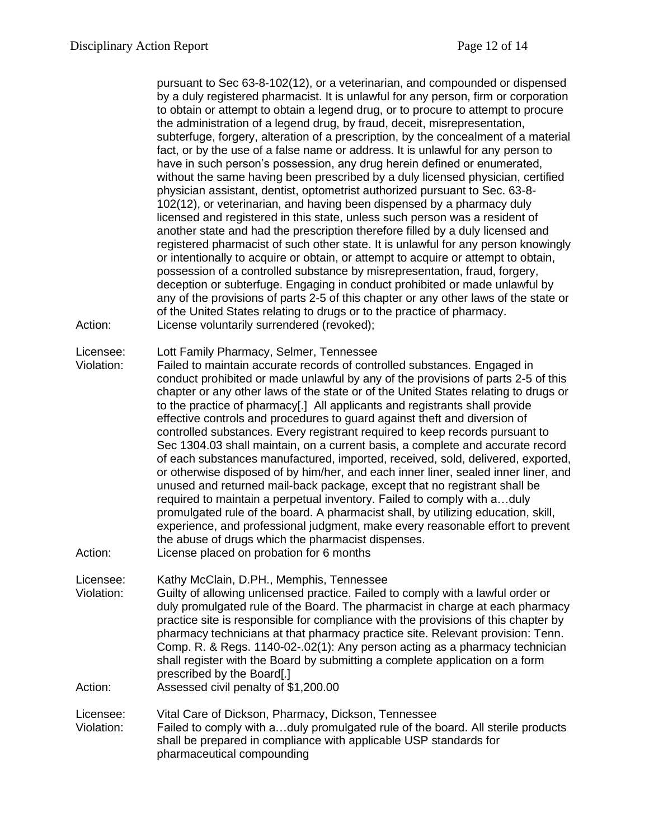pursuant to Sec 63-8-102(12), or a veterinarian, and compounded or dispensed by a duly registered pharmacist. It is unlawful for any person, firm or corporation to obtain or attempt to obtain a legend drug, or to procure to attempt to procure the administration of a legend drug, by fraud, deceit, misrepresentation, subterfuge, forgery, alteration of a prescription, by the concealment of a material fact, or by the use of a false name or address. It is unlawful for any person to have in such person's possession, any drug herein defined or enumerated, without the same having been prescribed by a duly licensed physician, certified physician assistant, dentist, optometrist authorized pursuant to Sec. 63-8- 102(12), or veterinarian, and having been dispensed by a pharmacy duly licensed and registered in this state, unless such person was a resident of another state and had the prescription therefore filled by a duly licensed and registered pharmacist of such other state. It is unlawful for any person knowingly or intentionally to acquire or obtain, or attempt to acquire or attempt to obtain, possession of a controlled substance by misrepresentation, fraud, forgery, deception or subterfuge. Engaging in conduct prohibited or made unlawful by any of the provisions of parts 2-5 of this chapter or any other laws of the state or of the United States relating to drugs or to the practice of pharmacy. Action: License voluntarily surrendered (revoked);

Licensee: Lott Family Pharmacy, Selmer, Tennessee

Violation: Failed to maintain accurate records of controlled substances. Engaged in conduct prohibited or made unlawful by any of the provisions of parts 2-5 of this chapter or any other laws of the state or of the United States relating to drugs or to the practice of pharmacy[.] All applicants and registrants shall provide effective controls and procedures to guard against theft and diversion of controlled substances. Every registrant required to keep records pursuant to Sec 1304.03 shall maintain, on a current basis, a complete and accurate record of each substances manufactured, imported, received, sold, delivered, exported, or otherwise disposed of by him/her, and each inner liner, sealed inner liner, and unused and returned mail-back package, except that no registrant shall be required to maintain a perpetual inventory. Failed to comply with a…duly promulgated rule of the board. A pharmacist shall, by utilizing education, skill, experience, and professional judgment, make every reasonable effort to prevent the abuse of drugs which the pharmacist dispenses.

Action: License placed on probation for 6 months

Licensee: Kathy McClain, D.PH., Memphis, Tennessee

Violation: Guilty of allowing unlicensed practice. Failed to comply with a lawful order or duly promulgated rule of the Board. The pharmacist in charge at each pharmacy practice site is responsible for compliance with the provisions of this chapter by pharmacy technicians at that pharmacy practice site. Relevant provision: Tenn. Comp. R. & Regs. 1140-02-.02(1): Any person acting as a pharmacy technician shall register with the Board by submitting a complete application on a form prescribed by the Board[.]

Action: Assessed civil penalty of \$1,200.00

Licensee: Vital Care of Dickson, Pharmacy, Dickson, Tennessee Violation: Failed to comply with a…duly promulgated rule of the board. All sterile products shall be prepared in compliance with applicable USP standards for pharmaceutical compounding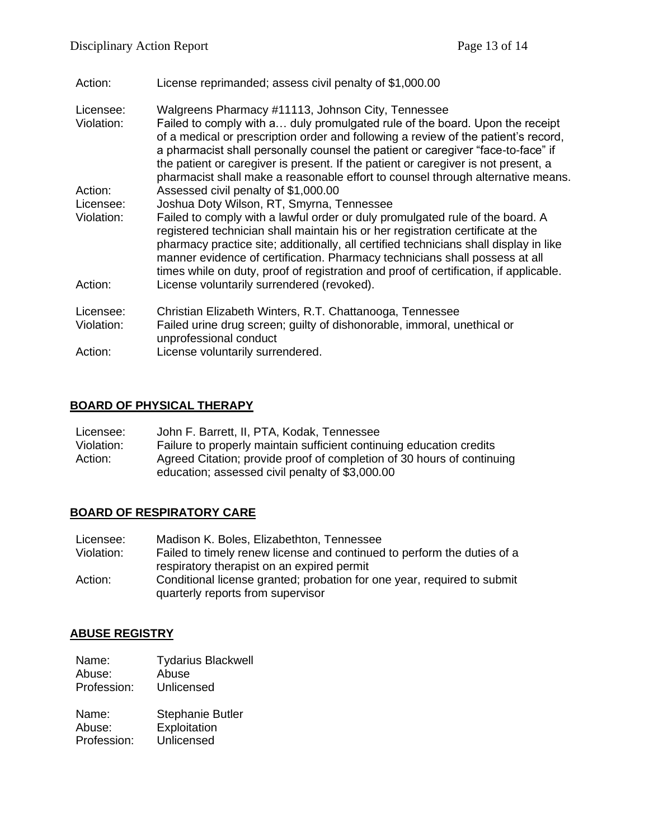| Action:                 | License reprimanded; assess civil penalty of \$1,000.00                                                                                                                                                                                                                                                                                                                                                                                                                               |
|-------------------------|---------------------------------------------------------------------------------------------------------------------------------------------------------------------------------------------------------------------------------------------------------------------------------------------------------------------------------------------------------------------------------------------------------------------------------------------------------------------------------------|
| Licensee:<br>Violation: | Walgreens Pharmacy #11113, Johnson City, Tennessee<br>Failed to comply with a duly promulgated rule of the board. Upon the receipt<br>of a medical or prescription order and following a review of the patient's record,<br>a pharmacist shall personally counsel the patient or caregiver "face-to-face" if<br>the patient or caregiver is present. If the patient or caregiver is not present, a<br>pharmacist shall make a reasonable effort to counsel through alternative means. |
| Action:                 | Assessed civil penalty of \$1,000.00                                                                                                                                                                                                                                                                                                                                                                                                                                                  |
| Licensee:               | Joshua Doty Wilson, RT, Smyrna, Tennessee                                                                                                                                                                                                                                                                                                                                                                                                                                             |
| Violation:              | Failed to comply with a lawful order or duly promulgated rule of the board. A<br>registered technician shall maintain his or her registration certificate at the<br>pharmacy practice site; additionally, all certified technicians shall display in like<br>manner evidence of certification. Pharmacy technicians shall possess at all<br>times while on duty, proof of registration and proof of certification, if applicable.                                                     |
| Action:                 | License voluntarily surrendered (revoked).                                                                                                                                                                                                                                                                                                                                                                                                                                            |
| Licensee:<br>Violation: | Christian Elizabeth Winters, R.T. Chattanooga, Tennessee<br>Failed urine drug screen; guilty of dishonorable, immoral, unethical or<br>unprofessional conduct                                                                                                                                                                                                                                                                                                                         |
| Action:                 | License voluntarily surrendered.                                                                                                                                                                                                                                                                                                                                                                                                                                                      |
|                         |                                                                                                                                                                                                                                                                                                                                                                                                                                                                                       |

# **BOARD OF PHYSICAL THERAPY**

| Licensee:  | John F. Barrett, II, PTA, Kodak, Tennessee                             |  |
|------------|------------------------------------------------------------------------|--|
| Violation: | Failure to properly maintain sufficient continuing education credits   |  |
| Action:    | Agreed Citation; provide proof of completion of 30 hours of continuing |  |
|            | education; assessed civil penalty of \$3,000.00                        |  |

# **BOARD OF RESPIRATORY CARE**

| Licensee:  | Madison K. Boles, Elizabethton, Tennessee                               |  |
|------------|-------------------------------------------------------------------------|--|
| Violation: | Failed to timely renew license and continued to perform the duties of a |  |
|            | respiratory therapist on an expired permit                              |  |
| Action:    | Conditional license granted; probation for one year, required to submit |  |
|            | quarterly reports from supervisor                                       |  |

# **ABUSE REGISTRY**

- Name: Tydarius Blackwell<br>Abuse: Abuse Abuse:
- Profession: Unlicensed

| Name:       | <b>Stephanie Butler</b> |
|-------------|-------------------------|
| Abuse:      | Exploitation            |
| Profession: | Unlicensed              |